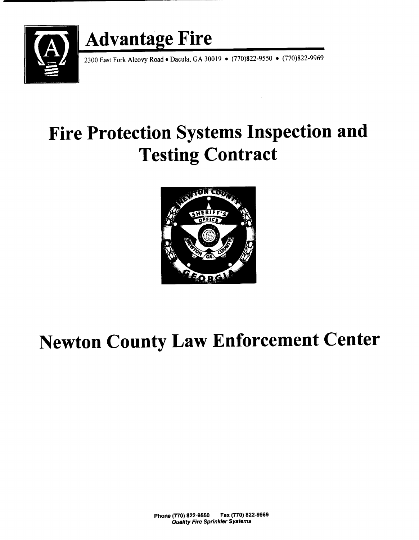

2300 East Fork Alcovy Road • Dacula, GA 30019 • (770)822-9550 • (770)822-9969

# Fire Protection Systems Inspection and Testing Contract



# Newton County Law Enforcement Center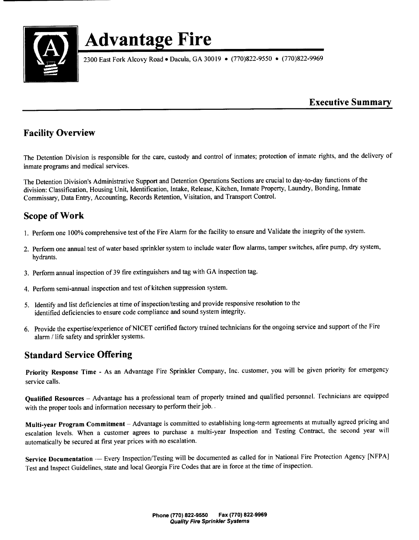

2300 East Fork Alcovy Road • Dacula, GA 30019 • (770)822-9550 • (770)822-9969

### Executive Summary

## Facility Overview

The Detention Division is responsible for the care, custody and control of inmates; protection of inmate rights, and the delivery of inmate programs and medical services.

The Detention Division's Administrative Support and Detention Operations Sections are crucial to day-to-day functions of the division: Classification, Housing Unit, Identification, Intake, Release, Kitchen, Inmate Property, Laundry, Bonding, Inmate Commissary, Data Entry, Accounting, Records Retention, Visitation, and Transport Control.

## Scope of Work

- 1. Perform one 100% comprehensive test of the Fire Alarm for the facility to ensure and Validate the integrity of the system.
- 2. Perform one annual test of water based sprinkler system to include water flow alarms, tamper switches, afire pump, dry system, hydrants.
- 3. Perform annual inspection of 39 fire extinguishers and tag with GA inspection tag.
- 4. Perform semi-annual inspection and test of kitchen suppression system.
- 5. Identify and list deficiencies at time of inspection/testing and provide responsive resolution to the identified deficiencies to ensure code compliance and sound system integrity.
- 6. Provide the expertise/experience ofNICET certified factory trained technicians for the ongoing service and support of the Fire alarm/ life safety and sprinkler systems.

## Standard Service Offering

Priority Response Time - As an Advantage Fire Sprinkler Company, Inc. customer, you will be given priority for emergency service calls.

Qualified Resources — Advantage has <sup>a</sup> professional team of properly trained and qualified personnel. Technicians are equipped with the proper tools and information necessary to perform their job. .

Multi-year Program Commitment— Advantage is committed to establishing long-term agreements at mutually agreed pricing and escalation levels. When a customer agrees to purchase <sup>a</sup> multi-year Inspection and Testing Contract, the second year will automatically be secured at first year prices with no escalation.

Service Documentation -- Every Inspection/Testing will be documented as called for in National Fire Protection Agency [NFPA] Test and Inspect Guidelines, state and local Georgia Fire Codes that are in force at the time of inspection.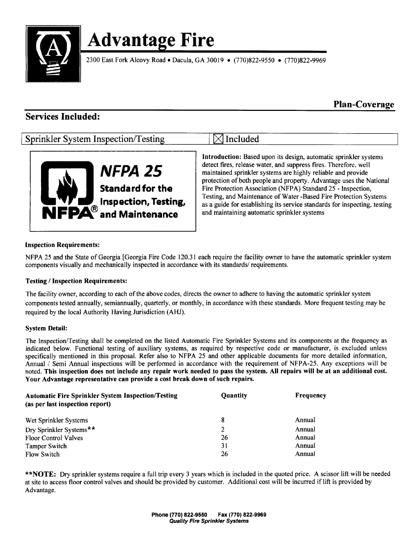

2300 East Fork Alcovy Road • Dacula, GA 30019 • (770) 822-9550 • (770) 822-9969

Plan-Coverage

## Services Included:

## Sprinkler System Inspection/Testing  $\boxtimes$  Included



Introduction: Based upon its design, automatic sprinkler systems detect fires, release water, and suppress fires. Therefore, well maintained sprinkler systems are highly reliable and provide protection of both people and property. Advantage uses the National Standard for the Fire Protection Association (NFPA) Standard 25 - Inspection,<br> **Inspection, Testing, Standard Association** (NFPA) Standard 25 - Inspection,<br>
as a guide for establishing its service standards for inspecting, as a guide for establishing its service standards for inspecting, testing and maintaining automatic sprinkler systems

#### Inspection Requirements:

NFPA 25 and the State of Georgia [Georgia Fire Code 120.31 each require the facility owner to have the automatic sprinkler system components visually and mechanically inspected in accordance with its standards/ requirements.

#### Testing/ Inspection Requirements:

The facility owner, according to each of the above codes, directs the owner to adhere to having the automatic sprinkler system components tested annually, semiannually, quarterly, or monthly, in accordance with these standards. More frequent testing may be required by the local Authority Having Jurisdiction( AHJ).

#### System Detail:

The Inspection/ Testing shall be completed on the listed Automatic Fire Sprinkler Systems and its components at the frequency as indicated below. Functional testing of auxiliary systems, as required by respective code or manufacturer, is excluded unless specifically mentioned in this proposal. Refer also to NFPA 25 and other applicable documents for more detailed information, Annual / Semi Annual inspections will be performed in accordance with the requirement of NFPA-25. Any exceptions will be noted. This inspection does not include any repair work needed to pass the system. All repairs will be at an additional cost. Your Advantage representative can provide a cost break down of such repairs.

| <b>Automatic Fire Sprinkler System Inspection/Testing</b><br>(as per last inspection report) | Quantity       | <b>Frequency</b> |
|----------------------------------------------------------------------------------------------|----------------|------------------|
| Wet Sprinkler Systems                                                                        | -8             | Annual           |
| Dry Sprinkler Systems**                                                                      | $\overline{2}$ | Annual           |
| <b>Floor Control Valves</b>                                                                  | 26             | Annual           |
| <b>Tamper Switch</b>                                                                         | 31             | Annual           |
| <b>Flow Switch</b>                                                                           | 26             | Annual           |

\*\* NOTE: Dry sprinkler systems require a full trip every 3 years which is included in the quoted price. A scissor lift will be needed at site to access floor control valves and should be provided by customer. Additional cost will be incurred if lift is provided by Advantage.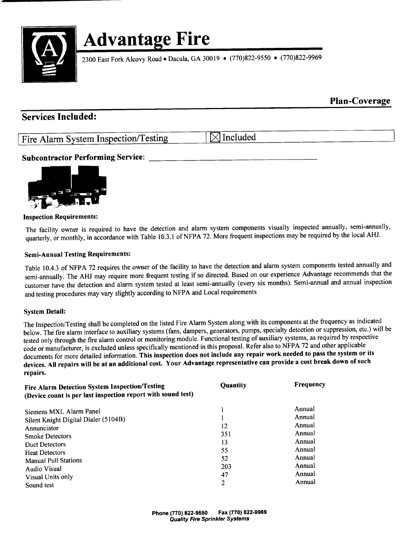

2300 East Fork Alcovy Road • Dacula, GA 30019 • (770)822-9550 • (770)822-9969

### Plan-Coverage

### Services Included:

Fire Alarm System Inspection/Testing  $\Box$  Included

### Subcontractor Performing Service:



#### Inspection Requirements:

The facility owner is required to have the detection and alarm system components visually inspected annually, semi-annually, quarterly, or monthly, in accordance with Table 10.3.1 of NFPA 72. More frequent inspections may be required by the local AHJ.

#### Semi-Annual Testing Requirements:

Table 10.4.3 of NFPA 72 requires the owner of the facility to have the detection and alarm system components tested annually and semi- annually. The AHJ may require more frequent testing if so directed. Based on our experience Advantage recommends that the customer have the detection and alarm system tested at least semi-annually (every six months). Semi-annual and annual inspection and testing procedures may vary slightly according to NFPA and Local requirements

#### System Detail:

The Inspection/Testing shall be completed on the listed Fire Alarm System along with its components at the frequency as indicated below. The fire alarm interface to auxiliary systems( fans, dampers, generators, pumps, specialty detection or suppression, etc.) will be tested only through the fire alarm control or monitoring module. Functional testing of auxiliary systems, as required by respective code or manufacturer, is excluded unless specifically mentioned in this proposal. Refer also to NFPA 72 and other applicable documents for more detailed information. This inspection does not include any repair work needed to pass the system or its devices. All repairs will be at an additional cost. Your Advantage representative can provide <sup>a</sup> cost break down of such repairs.

| Fire Alarm Detection System Inspection/Testing<br>(Device count is per last inspection report with sound test) | Quantity | Frequency |
|----------------------------------------------------------------------------------------------------------------|----------|-----------|
| Siemens MXL Alarm Panel                                                                                        |          | Annual    |
| Silent Knight Digital Dialer (5104B)                                                                           |          | Annual    |
| Annunciator                                                                                                    | 12       | Annual    |
| <b>Smoke Detectors</b>                                                                                         | 351      | Annual    |
| <b>Duct Detectors</b>                                                                                          | 13       | Annual    |
| <b>Heat Detectors</b>                                                                                          | 55       | Annual    |
| <b>Manual Pull Stations</b>                                                                                    | 52       | Annual    |
| Audio Visual                                                                                                   | 203      | Annual    |
|                                                                                                                | 47       | Annual    |
| Visual Units only<br>Sound test                                                                                | 2        | Annual    |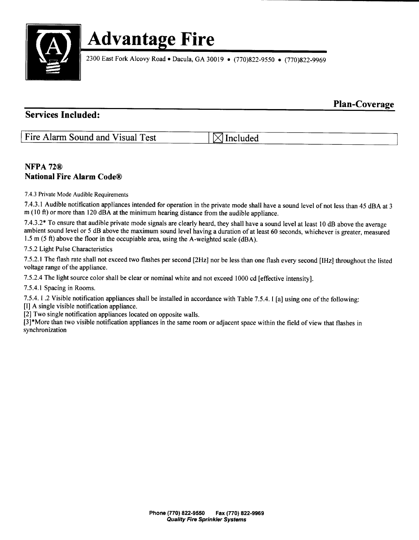

2300 East Fork Alcovy Road · Dacula, GA 30019 · (770)822-9550 · (770)822-9969

### Plan-Coverage

### Services Included:

| Fire Alarm Sound and Visual Test | $\boxtimes$ Included |
|----------------------------------|----------------------|
|                                  |                      |

### NFPA 72® National Fire Alarm Code@

7.4. <sup>3</sup> Private Mode Audible Requirements

7.4. 3. <sup>1</sup> Audible notification appliances intended for operation in the private mode shall have a sound level of not less than 45 dBA at <sup>3</sup>  $m(10 ft)$  or more than 120 dBA at the minimum hearing distance from the audible appliance.

7.43.2\* To ensure that audible private mode signals are clearly heard, they shall have <sup>a</sup> sound level at least 10 dB above the average ambient sound level or <sup>5</sup> dB above the maximum sound level having a duration of at least 60 seconds, whichever is greater, measured 1.5 m  $(5 \text{ ft})$  above the floor in the occupiable area, using the A-weighted scale ( $dBA$ ).

7.5.2 Light Pulse Characteristics

7.5.2.1 The flash rate shall not exceed two flashes per second [2Hz] nor be less than one flash every second [IHz] throughout the listed voltage range of the appliance.

7.5.2.4 The light source color shall be clear or nominal white and not exceed 1000 cd [effective intensity].

7. 5. 4. <sup>1</sup> Spacing in Rooms.

7.5.4. I .2 Visible notification appliances shall be installed in accordance with Table 7.5.4. I [a] using one of the following:

I] A single visible notification appliance.

2] Two single notification appliances located on opposite walls.

3]\* More than two visible notification appliances in the same room or adjacent space within the field of view that flashes in synchronization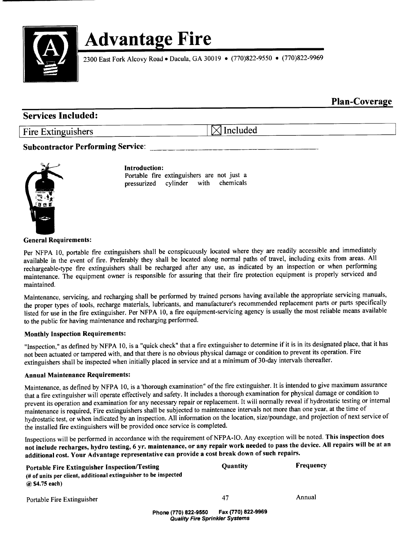

2300 East Fork Alcovy Road • Dacula, GA 30019 • (770)822-9550 • (770)822-9969

Plan-Coverage

### Services Included:

Fire Extinguishers  $\boxtimes$  Included

#### Subcontractor Performing Service;



#### Introduction:

Portable fire extinguishers are not just a pressurized cylinder with chemicals

General Requirements:

Per NFPA 10, portable fre extinguishers shall be conspicuously located where they are readily accessible and immediately available in the event of fire. Preferably they shall be located along normal paths of travel, including exits from areas. All rechargeable- type fire extinguishers shall be recharged after any use, as indicated by an inspection or when performing maintenance. The equipment owner is responsible for assuring that their fire protection equipment is properly serviced and maintained.

Maintenance, servicing, and recharging shall be performed by trained persons having available the appropriate servicing manuals, the proper types of tools, recharge materials, lubricants, and manufacturer's recommended replacement parts or parts specifically listed for use in the fire extinguisher. Per NFPA 10, a fire equipment- servicing agency is usually the most reliable means available to the public for having maintenance and recharging performed.

#### Monthly Inspection Requirements:

"Inspection," as defined by NFPA 10, is a "quick check" that a fire extinguisher to determine if it is in its designated place, that it has not been actuated or tampered with, and that there is no obvious physical damage or condition to prevent its operation. Fire extinguishers shall be inspected when initially placed in service and at <sup>a</sup> minimum of 30- day intervals thereafter.

#### Annual Maintenance Requirements:

Maintenance, as defined by NFPA 10, is <sup>a</sup>' thorough examination" of the fire extinguisher. It is intended to give maximum assurance that <sup>a</sup> fire extinguisher will operate effectively and safety. It includes <sup>a</sup> thorough examination for physical damage or condition to prevent its operation and examination for any necessary repair or replacement. It will normally reveal if hydrostatic testing or internal maintenance is required, Fire extinguishers shall be subjected to maintenance intervals not more than one year, at the time of hydrostatic test, or when indicated by an inspection. All information on the location, size/poundage, and projection of next service of the installed fire extinguishers will be provided once service is completed.

Inspections will be performed in accordance with the requirement of NFPA- 10. Any exception will be noted. This inspection does not include recharges, hydro testing, 6 yr. maintenance, or any repair work needed to pass the device. All repairs will be at an additional cost. Your Advantage representative can provide a cost break down of such repairs.

| Portable Fire Extinguisher Inspection/Testing<br>(# of units per client, additional extinguisher to be inspected<br>@ \$4.75 each) |                                                               | <b>Ouantity</b>    | Frequency |
|------------------------------------------------------------------------------------------------------------------------------------|---------------------------------------------------------------|--------------------|-----------|
| Portable Fire Extinguisher                                                                                                         |                                                               | 47                 | Annual    |
|                                                                                                                                    | Phone (770) 822-9550<br><b>Quality Fire Sprinkler Systems</b> | Fax (770) 822-9969 |           |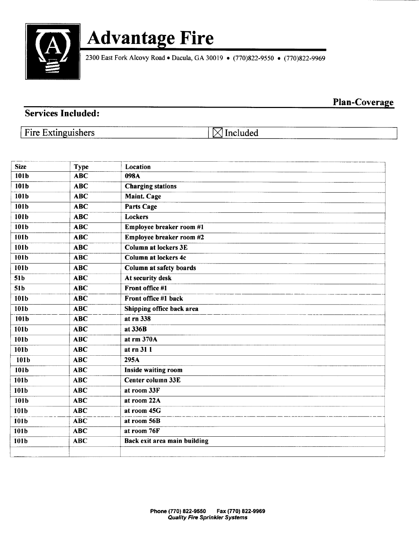

2300 East Fork Alcovy Road • Dacula, GA 30019 • (770)822-9550 • (770)822-9969

Plan-Coverage

### Services Included:

Fire Extinguishers  $\Box$  Included

| <b>Size</b>      | <b>Type</b>             | Location                     |
|------------------|-------------------------|------------------------------|
| 101b             | $\overline{\text{ABC}}$ | 098A                         |
| 101b             | <b>ABC</b>              | <b>Charging stations</b>     |
| 101b             | <b>ABC</b>              | <b>Maint. Cage</b>           |
| 101b             | ABC                     | <b>Parts Cage</b>            |
| 101b             | <b>ABC</b>              | Lockers                      |
| 101b             | <b>ABC</b>              | Employee breaker room #1     |
| 101b             | <b>ABC</b>              | Employee breaker room #2     |
| 101 <b>b</b>     | <b>ABC</b>              | <b>Column at lockers 3E</b>  |
| 101b             | <b>ABC</b>              | <b>Column at lockers 4c</b>  |
| 101b             | <b>ABC</b>              | Column at safety boards      |
| 51b              | <b>ABC</b>              | At security desk             |
| 51b              | <b>ABC</b>              | Front office #1              |
| 101b             | <b>ABC</b>              | Front office #1 back         |
| 101b             | <b>ABC</b>              | Shipping office back area    |
| 101b             | <b>ABC</b>              | $at$ rn 338                  |
| 101b             | <b>ABC</b>              | at 336B                      |
| 101b             | <b>ABC</b>              | at $rm 370A$                 |
| 101b             | <b>ABC</b>              | at rn 31 1                   |
| 101 <sub>b</sub> | $\overline{\text{ABC}}$ | 295A                         |
| 101b             | <b>ABC</b>              | <b>Inside waiting room</b>   |
| 101b             | <b>ABC</b>              | Center column 33E            |
| 101b             | <b>ABC</b>              | at room 33F                  |
| 101b             | <b>ABC</b>              | at room 22A                  |
| 101b             | <b>ABC</b>              | at room 45G                  |
| 101b             | <b>ABC</b>              | at room 56B                  |
| 101 <sub>b</sub> | <b>ABC</b>              | at room 76F                  |
| 101b             | <b>ABC</b>              | Back exit area main building |
|                  |                         |                              |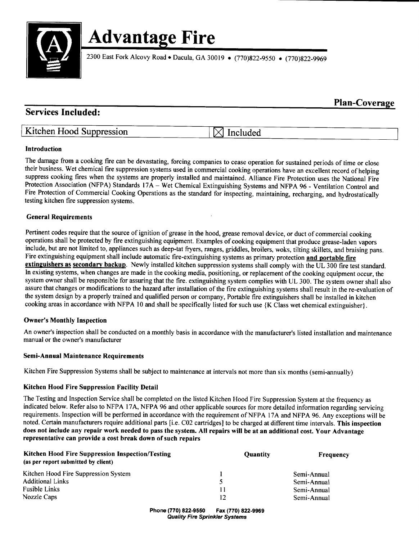

2300 East Fork Alcovy Road • Dacula, GA 30019 • (770)822-9550 • (770)822-9969

## Services Included:

## Kitchen Hood Suppression  $\boxtimes$  Included

Plan-Coverage

#### Introduction

The damage from <sup>a</sup> cooking fire can be devastating, forcing companies to cease operation for sustained periods of time or close their business. Wet chemical fire suppression systems used in commercial cooking operations have an excellent record of helping suppress cooking fires when the systems are properly installed and maintained. Alliance Fire Protection uses the National Fire Protection Association (NFPA) Standards 17A – Wet Chemical Extinguishing Systems and NFPA 96 - Ventilation Control and Fire Protection of Commercial Cooking Operations as the standard for inspecting, maintaining, recharging, and hydrostatically testing kitchen fire suppression systems.

#### General Requirements

Pertinent codes require that the source of ignition of grease in the hood, grease removal device, or duct of commercial cooking operations shall be protected by fire extinguishing equipment. Examples of cooking equipment that produce grease- laden vapors include, but are not limited to, appliances such as deep-tat fryers, ranges, griddles, broilers, woks, tilting skillets, and braising pans. Fire extinguishing equipment shall include automatic fire-extinguishing systems as primary protection and portable fire extinguishers as secondary backup. Newly installed kitchen suppression systems shall comply with the UL 300 fire test standard. In existing systems, when changes are made in the cooking media, positioning, or replacement of the cooking equipment occur, the system owner shall be responsible for assuring that the fire. extinguishing system complies with UL 300. The system owner shall also assure that changes or modifications to the hazard after installation of the fire extinguishing systems shall result in the re-evaluation of the system design by a properly trained and qualified person or company, Portable fire extinguishers shall be installed in kitchen cooking areas in accordance with NFPA 10 and shall be specifically listed for such use { K Class wet chemical extinguisher).

#### **Owner's Monthly Inspection**

An owner's inspection shall be conducted on a monthly basis in accordance with the manufacturer's listed installation and maintenance manual or the owner's manufacturer

#### Semi-Annual Maintenance Requirements

Kitchen Fire Suppression Systems shall be subject to maintenance at intervals not more than six months (semi-annually)

#### Kitchen Hood Fire Suppression Facility Detail

The Testing and Inspection Service shall be completed on the listed Kitchen Hood Fire Suppression System at the frequency as indicated below. Refer also to NFPA 17A, NFPA 96 and other applicable sources for more detailed information regarding servicing requirements. Inspection will be performed in accordance with the requirement of NFPA 17A and NFPA 96. Any exceptions will be noted. Certain manufacturers require additional parts [ i.e. CO2 cartridges] to be charged at different time intervals. This inspection does not include any repair work needed to pass the system. All repairs will be at an additional cost. Your Advantage representative can provide <sup>a</sup> cost break down of such repairs

| <b>Kitchen Hood Fire Suppression Inspection/Testing</b><br>(as per report submitted by client) | <b>Quantity</b> | <b>Frequency</b> |
|------------------------------------------------------------------------------------------------|-----------------|------------------|
| Kitchen Hood Fire Suppression System                                                           |                 | Semi-Annual      |
| <b>Additional Links</b>                                                                        |                 | Semi-Annual      |
| <b>Fusible Links</b>                                                                           | 11              | Semi-Annual      |
| Nozzle Caps                                                                                    | 12              | Semi-Annual      |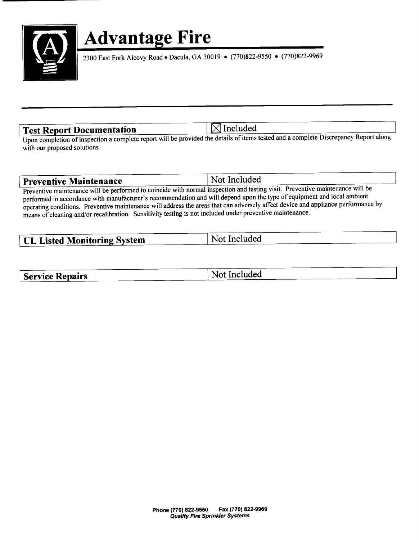

2300 East Fork Alcovy Road · Dacula, GA 30019 · (770) 822-9550 · (770) 822-9969

Test Report Documentation | MIncluded

Upon completion of inspection <sup>a</sup> complete report will be provided the details of items tested and a complete Discrepancy Report along with our proposed solutions.

| <b>Preventive Maintenance</b> | Not Included                                                                                                                                                                                                                       |
|-------------------------------|------------------------------------------------------------------------------------------------------------------------------------------------------------------------------------------------------------------------------------|
|                               | <b>Example 2</b> is the set of the December of the project of the set of the set of the set of the set of the set of the set of the set of the set of the set of the set of the set of the set of the set of the set of the set of |

Preventive maintenance will be performed to coincide with normal inspection and testing visit. Preventive maintenance will be performed in accordance with manufacturer's recommendation and will depend upon the type of equipment and local ambient operating conditions. Preventive maintenance will address the areas that can adversely affect device and appliance performance by means of cleaning and/or recalibration. Sensitivity testing is not included under preventive maintenance.

| <b>UL Listed Monitoring System</b> | Not Included |
|------------------------------------|--------------|
|                                    |              |

| <b>Service Repairs</b> | Not Included |
|------------------------|--------------|
|------------------------|--------------|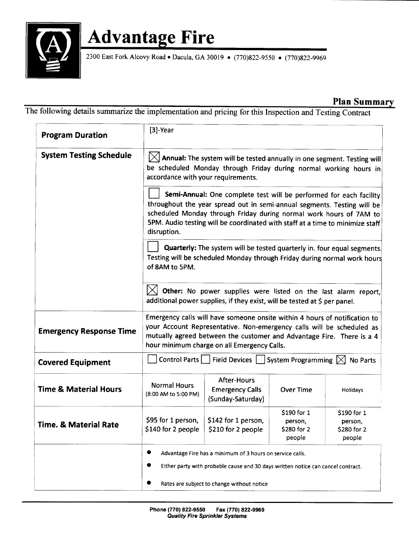

2300 East Fork Alcovy Road • Dacula, GA 30019 • (770) 822-9550 • (770) 822-9969

### Plan Summary

The following details summarize the implementation and pricing for this Inspection and Testing Contract

| <b>Program Duration</b>          | $[3]$ -Year                                                                                                                                                                                                                                                                                                         |                                                            |                                                |                                                |
|----------------------------------|---------------------------------------------------------------------------------------------------------------------------------------------------------------------------------------------------------------------------------------------------------------------------------------------------------------------|------------------------------------------------------------|------------------------------------------------|------------------------------------------------|
| <b>System Testing Schedule</b>   | $[\times]$ Annual: The system will be tested annually in one segment. Testing will<br>be scheduled Monday through Friday during normal working hours in<br>accordance with your requirements.                                                                                                                       |                                                            |                                                |                                                |
|                                  | Semi-Annual: One complete test will be performed for each facility<br>throughout the year spread out in semi-annual segments. Testing will be<br>scheduled Monday through Friday during normal work hours of 7AM to<br>5PM. Audio testing will be coordinated with staff at a time to minimize staff<br>disruption. |                                                            |                                                |                                                |
|                                  | Quarterly: The system will be tested quarterly in. four equal segments.<br>Testing will be scheduled Monday through Friday during normal work hours<br>of 8AM to 5PM.                                                                                                                                               |                                                            |                                                |                                                |
|                                  | Other: No power supplies were listed on the last alarm report,<br>additional power supplies, if they exist, will be tested at \$ per panel.                                                                                                                                                                         |                                                            |                                                |                                                |
| <b>Emergency Response Time</b>   | Emergency calls will have someone onsite within 4 hours of notification to<br>your Account Representative. Non-emergency calls will be scheduled as<br>mutually agreed between the customer and Advantage Fire. There is a 4<br>hour minimum charge on all Emergency Calls.                                         |                                                            |                                                |                                                |
| <b>Covered Equipment</b>         | Control Parts<br>Field Devices   System Programming $\boxtimes$<br>No Parts                                                                                                                                                                                                                                         |                                                            |                                                |                                                |
| <b>Time &amp; Material Hours</b> | <b>Normal Hours</b><br>(8:00 AM to 5:00 PM)                                                                                                                                                                                                                                                                         | After-Hours<br><b>Emergency Calls</b><br>(Sunday-Saturday) | <b>Over Time</b>                               | <b>Holidays</b>                                |
| <b>Time. &amp; Material Rate</b> | \$95 for 1 person,<br>\$140 for 2 people                                                                                                                                                                                                                                                                            | \$142 for 1 person,<br>\$210 for 2 people                  | \$190 for 1<br>person,<br>S280 for 2<br>people | \$190 for 1<br>person,<br>S280 for 2<br>people |
|                                  | Advantage Fire has a minimum of 3 hours on service calls.<br>Either party with probable cause and 30 days written notice can cancel contract.<br>Rates are subject to change without notice                                                                                                                         |                                                            |                                                |                                                |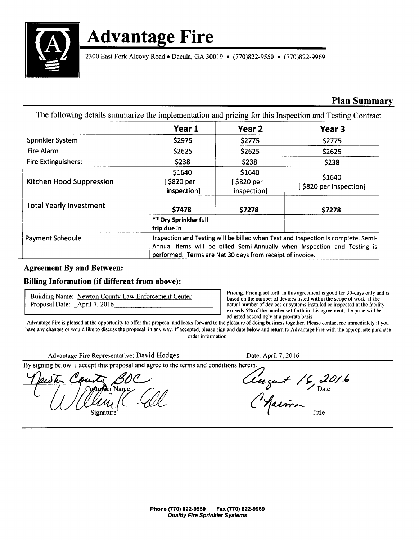

2300 East Fork Alcovy Road • Dacula, GA 30019 • (770)822-9550 • (770)822-9969

### Plan Summary

The following details summarize the implementation and pricing for this Inspection and Testing Contract

|                                | Year 1                                                                                                                                                                                                                     | Year 2                               | Year 3                           |
|--------------------------------|----------------------------------------------------------------------------------------------------------------------------------------------------------------------------------------------------------------------------|--------------------------------------|----------------------------------|
| Sprinkler System               | \$2975                                                                                                                                                                                                                     | \$2775                               | \$2775                           |
| Fire Alarm                     | \$2625                                                                                                                                                                                                                     | \$2625                               | \$2625                           |
| <b>Fire Extinguishers:</b>     | \$238                                                                                                                                                                                                                      | \$238                                | \$238                            |
| Kitchen Hood Suppression       | \$1640<br>5820 per  <br>inspection]                                                                                                                                                                                        | \$1640<br>[ \$820 per<br>inspection] | \$1640<br>[\$820 per inspection] |
| <b>Total Yearly Investment</b> | \$7478                                                                                                                                                                                                                     | \$7278                               | \$7278                           |
|                                | ** Dry Sprinkler full<br>trip due in                                                                                                                                                                                       |                                      |                                  |
| <b>Payment Schedule</b>        | Inspection and Testing will be billed when Test and Inspection is complete. Semi-<br>Annual items will be billed Semi-Annually when Inspection and Testing is<br>performed. Terms are Net 30 days from receipt of invoice. |                                      |                                  |

#### Agreement By and Between:

#### Billing Information (if different from above):

Pricing: Pricing: Pricing set forth in this agreement is good for 30-days only and is<br>Proposal Date: April 7, 2016<br>Pricing set forth in this agreement is good for 30-days only and is<br>actual number of devices or systems ins actual number of devices or systems installed or inspected at the facility exceeds 5% of the number set forth in this agreement, the price will be adjusted accordingly at a pro-rata basis.

Advantage Fire is pleased at the opportunity to offer this proposal and looks forward to the pleasure of doing business together. Please contact me immediately if you have any changes or would like to discuss the proposal. in any way. If accepted, please sign and date below and return to Advantage Fire with the appropriate purchase order information.

Advantage Fire Representative: David Hodges Date: April 7, 2016

By signing below; I accept this proposal and agree to the terms and conditions herein.

Customer Name  $\sim$   $\sim$   $\sim$   $\sim$   $\sim$   $\sim$  Date Signature Title

OC Cincut 16,201. alman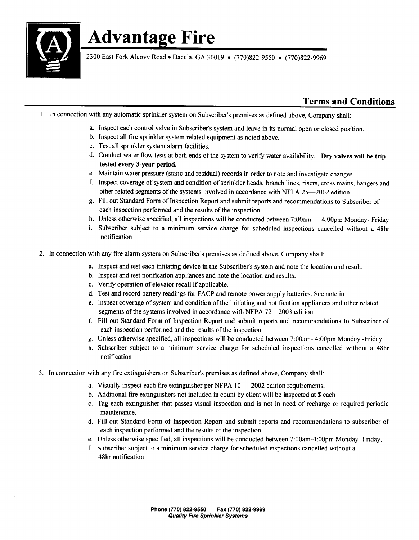

2300 East Fork Alcovy Road • Dacula, GA 30019 • (770) 822-9550 • (770) 822-9969

### Terms and Conditions

- 1. In connection with any automatic sprinkler system on Subscriber's premises as defined above, Company shall:
	- a. Inspect each control valve in Subscriber's system and leave in its normal open or closed position.
	- b. Inspect all fire sprinkler system related equipment as noted above.
	- c. Test all sprinkler system alarm facilities.
	- d. Conduct water flow tests at both ends of the system to verify water availability. Dry valves will be trip tested every 3-year period.
	- e. Maintain water pressure (static and residual) records in order to note and investigate changes.
	- f. Inspect coverage of system and condition of sprinkler heads, branch lines, risers, cross mains, hangers and other related segments of the systems involved in accordance with NFPA 25-2002 edition.
	- g. Fill out Standard Form of Inspection Report and submit reports and recommendations to Subscriber of each inspection performed and the results of the inspection.
	- h. Unless otherwise specified, all inspections will be conducted between 7:00am 4:00pm Monday- Friday
	- i. Subscriber subject to <sup>a</sup> minimum service charge for scheduled inspections cancelled without <sup>a</sup> 48hr notification
- 2. In connection with any fire alarm system on Subscriber's premises as defined above, Company shall:
	- a. Inspect and test each initiating device in the Subscriber's system and note the location and result.
	- b. Inspect and test notification appliances and note the location and results.
	- c. Verify operation of elevator recall if applicable.
	- d. Test and record battery readings for FACP and remote power supply batteries. See note in
	- e. Inspect coverage of system and condition of the initiating and notification appliances and other related segments of the systems involved in accordance with NFPA 72-2003 edition.
	- f. Fill out Standard Form of Inspection Report and submit reports and recommendations to Subscriber of each inspection performed and the results of the inspection.
	- g. Unless otherwise specified, all inspections will be conducted between 7: 00am- 4: 00pm Monday- Friday
	- h. Subscriber subject to a minimum service charge for scheduled inspections cancelled without a 48hr notification
- 3. In connection with any fire extinguishers on Subscriber's premises as defined above, Company shall:
	- a. Visually inspect each fire extinguisher per NFPA 10— 2002 edition requirements.
	- b. Additional fire extinguishers not included in count by client will be inspected at \$ each
	- c. Tag each extinguisher that passes visual inspection and is not in need of recharge or required periodic maintenance.
	- d. Fill out Standard Form of Inspection Report and submit reports and recommendations to subscriber of each inspection performed and the results of the inspection.
	- e. Unless otherwise specified, all inspections will be conducted between 7:00am-4:00pm Monday- Friday,
	- f. Subscriber subject to <sup>a</sup> minimum service charge for scheduled inspections cancelled without <sup>a</sup> 48hr notification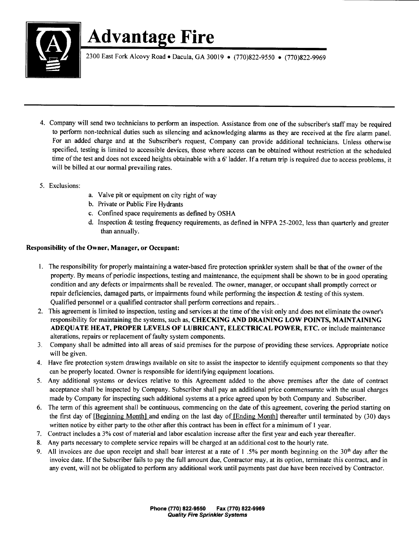

2300 East Fork Alcovy Road • Dacula, GA 30019 • (770)822-9550 • (770)822-9969

- 4. Company will send two technicians to perform an inspection. Assistance from one of the subscriber's staff may be required to perform non-technical duties such as silencing and acknowledging alarms as they are received at the fire alarm panel. For an added charge and at the Subscriber's request, Company can provide additional technicians. Unless otherwise specified, testing is limited to accessible devices, those where access can be obtained without restriction at the scheduled time of the test and does not exceed heights obtainable with <sup>a</sup> <sup>6</sup>' ladder. If <sup>a</sup> return trip is required due to access problems, it will be billed at our normal prevailing rates.
- 5. Exclusions:
- a. Valve pit or equipment on city right of way
- b. Private or Public Fire Hydrants
- c. Confined space requirements as defined by OSHA
- d. Inspection  $&$  testing frequency requirements, as defined in NFPA 25-2002, less than quarterly and greater than annually.

#### Responsibility of the Owner, Manager, or Occupant:

- 1. The responsibility for properly maintaining a water-based fire protection sprinkler system shall be that of the owner of the property. By means of periodic inspections, testing and maintenance, the equipment shall be shown to be in good operating condition and any defects or impairments shall be revealed. The owner, manager, or occupant shall promptly correct or repair deficiencies, damaged parts, or impairments found while performing the inspection  $\&$  testing of this system. Qualified personnel or a qualified contractor shall perform corrections and repairs..
- 2. This agreement is limited to inspection, testing and services at the time of the visit only and does not eliminate the owner's responsibility for maintaining the systems, such as, CHECKING AND DRAINING LOW POINTS, MAINTAINING ADEQUATE HEAT, PROPER LEVELS OF LUBRICANT, ELECTRICAL POWER, ETC. or include maintenance alterations, repairs or replacement of faulty system components.
- 3. Company shall be admitted into all areas of said premises for the purpose of providing these services. Appropriate notice will be given.
- 4. Have fire protection system drawings available on site to assist the inspector to identify equipment components so that they can be properly located. Owner is responsible for identifying equipment locations.
- 5. Any additional systems or devices relative to this Agreement added to the above premises after the date of contract acceptance shall be inspected by Company. Subscriber shall pay an additional price commensurate with the usual charges made by Company for inspecting such additional systems at a price agreed upon by both Company and. Subscriber.
- 6. The term of this agreement shall be continuous, commencing on the date of this agreement, covering the period starting on the first day of [Beginning Month] and ending on the last day of [Ending Month] thereafter until terminated by (30) days written notice by either party to the other after this contract has been in effect for a minimum of 1 year.
- 7. Contract includes <sup>a</sup> 3% cost of material and labor escalation increase after the first year and each year thereafter.
- 8. Any parts necessary to complete service repairs will be charged at an additional cost to the hourly rate.
- 9. All invoices are due upon receipt and shall bear interest at a rate of 1.5% per month beginning on the  $30<sup>th</sup>$  day after the invoice date. Ifthe Subscriber fails to pay the full amount due, Contractor may, at its option, terminate this contract, and in any event, will not be obligated to perform any additional work until payments past due have been received by Contractor.